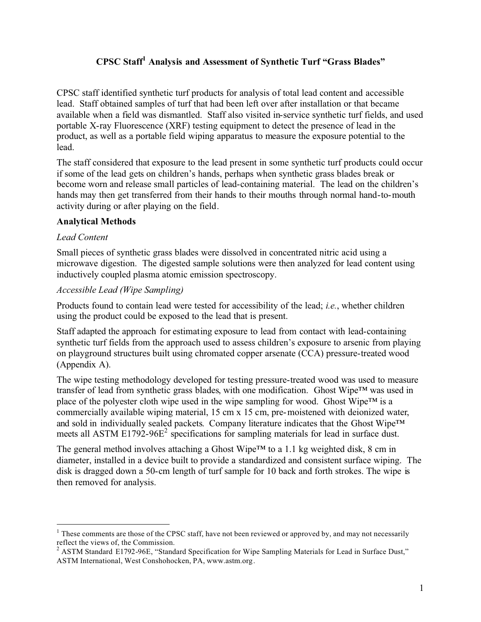# **CPSC Staff<sup>1</sup> Analysis and Assessment of Synthetic Turf "Grass Blades"**

CPSC staff identified synthetic turf products for analysis of total lead content and accessible lead. Staff obtained samples of turf that had been left over after installation or that became available when a field was dismantled. Staff also visited in-service synthetic turf fields, and used portable X-ray Fluorescence (XRF) testing equipment to detect the presence of lead in the product, as well as a portable field wiping apparatus to measure the exposure potential to the lead.

The staff considered that exposure to the lead present in some synthetic turf products could occur if some of the lead gets on children's hands, perhaps when synthetic grass blades break or become worn and release small particles of lead-containing material. The lead on the children's hands may then get transferred from their hands to their mouths through normal hand-to-mouth activity during or after playing on the field.

## **Analytical Methods**

#### *Lead Content*

Small pieces of synthetic grass blades were dissolved in concentrated nitric acid using a microwave digestion. The digested sample solutions were then analyzed for lead content using inductively coupled plasma atomic emission spectroscopy.

#### *Accessible Lead (Wipe Sampling)*

Products found to contain lead were tested for accessibility of the lead; *i.e.*, whether children using the product could be exposed to the lead that is present.

Staff adapted the approach for estimating exposure to lead from contact with lead-containing synthetic turf fields from the approach used to assess children's exposure to arsenic from playing on playground structures built using chromated copper arsenate (CCA) pressure-treated wood (Appendix A).

The wipe testing methodology developed for testing pressure-treated wood was used to measure transfer of lead from synthetic grass blades, with one modification. Ghost Wipe™ was used in place of the polyester cloth wipe used in the wipe sampling for wood. Ghost Wipe™ is a commercially available wiping material, 15 cm x 15 cm, pre-moistened with deionized water, and sold in individually sealed packets. Company literature indicates that the Ghost Wipe™ meets all ASTM  $E1792-96E^2$  specifications for sampling materials for lead in surface dust.

The general method involves attaching a Ghost Wipe™ to a 1.1 kg weighted disk, 8 cm in diameter, installed in a device built to provide a standardized and consistent surface wiping. The disk is dragged down a 50-cm length of turf sample for 10 back and forth strokes. The wipe is then removed for analysis.

 $1$  These comments are those of the CPSC staff, have not been reviewed or approved by, and may not necessarily reflect the views of, the Commission.

 $2$  ASTM Standard E1792-96E, "Standard Specification for Wipe Sampling Materials for Lead in Surface Dust," ASTM International, West Conshohocken, PA, www.astm.org.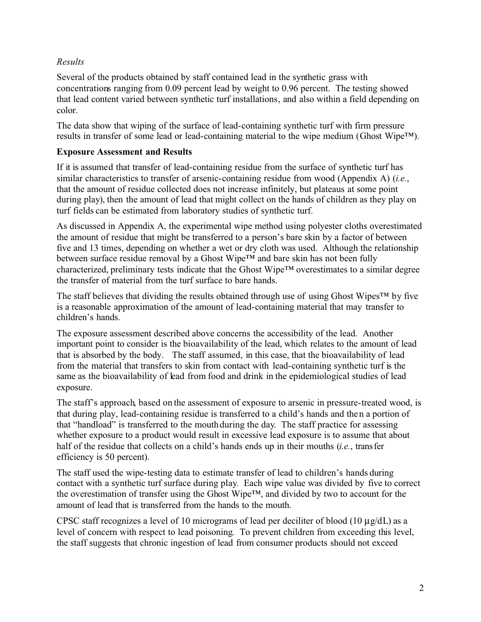## *Results*

Several of the products obtained by staff contained lead in the synthetic grass with concentrations ranging from 0.09 percent lead by weight to 0.96 percent. The testing showed that lead content varied between synthetic turf installations, and also within a field depending on color.

The data show that wiping of the surface of lead-containing synthetic turf with firm pressure results in transfer of some lead or lead-containing material to the wipe medium (Ghost Wipe<sup>TM</sup>).

# **Exposure Assessment and Results**

If it is assumed that transfer of lead-containing residue from the surface of synthetic turf has similar characteristics to transfer of arsenic-containing residue from wood (Appendix A) (*i.e.*, that the amount of residue collected does not increase infinitely, but plateaus at some point during play), then the amount of lead that might collect on the hands of children as they play on turf fields can be estimated from laboratory studies of synthetic turf.

As discussed in Appendix A, the experimental wipe method using polyester cloths overestimated the amount of residue that might be transferred to a person's bare skin by a factor of between five and 13 times, depending on whether a wet or dry cloth was used. Although the relationship between surface residue removal by a Ghost Wipe™ and bare skin has not been fully characterized, preliminary tests indicate that the Ghost Wipe™ overestimates to a similar degree the transfer of material from the turf surface to bare hands.

The staff believes that dividing the results obtained through use of using Ghost Wipes™ by five is a reasonable approximation of the amount of lead-containing material that may transfer to children's hands.

The exposure assessment described above concerns the accessibility of the lead. Another important point to consider is the bioavailability of the lead, which relates to the amount of lead that is absorbed by the body. The staff assumed, in this case, that the bioavailability of lead from the material that transfers to skin from contact with lead-containing synthetic turf is the same as the bioavailability of lead from food and drink in the epidemiological studies of lead exposure.

The staff's approach, based on the assessment of exposure to arsenic in pressure-treated wood, is that during play, lead-containing residue is transferred to a child's hands and then a portion of that "handload" is transferred to the mouth during the day. The staff practice for assessing whether exposure to a product would result in excessive lead exposure is to assume that about half of the residue that collects on a child's hands ends up in their mouths (*i.e.*, transfer efficiency is 50 percent).

The staff used the wipe-testing data to estimate transfer of lead to children's hands during contact with a synthetic turf surface during play. Each wipe value was divided by five to correct the overestimation of transfer using the Ghost Wipe™, and divided by two to account for the amount of lead that is transferred from the hands to the mouth.

CPSC staff recognizes a level of 10 micrograms of lead per deciliter of blood (10  $\mu$ g/dL) as a level of concern with respect to lead poisoning. To prevent children from exceeding this level, the staff suggests that chronic ingestion of lead from consumer products should not exceed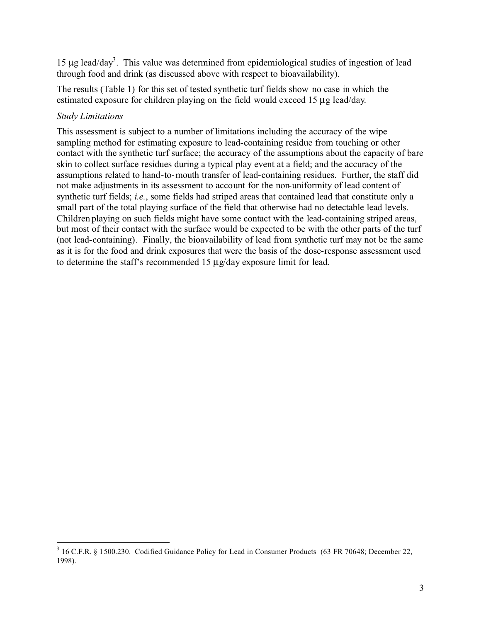15  $\mu$ g lead/day<sup>3</sup>. This value was determined from epidemiological studies of ingestion of lead through food and drink (as discussed above with respect to bioavailability).

The results (Table 1) for this set of tested synthetic turf fields show no case in which the estimated exposure for children playing on the field would exceed 15 µg lead/day.

## *Study Limitations*

This assessment is subject to a number of limitations including the accuracy of the wipe sampling method for estimating exposure to lead-containing residue from touching or other contact with the synthetic turf surface; the accuracy of the assumptions about the capacity of bare skin to collect surface residues during a typical play event at a field; and the accuracy of the assumptions related to hand-to-mouth transfer of lead-containing residues. Further, the staff did not make adjustments in its assessment to account for the non-uniformity of lead content of synthetic turf fields; *i.e.*, some fields had striped areas that contained lead that constitute only a small part of the total playing surface of the field that otherwise had no detectable lead levels. Children playing on such fields might have some contact with the lead-containing striped areas, but most of their contact with the surface would be expected to be with the other parts of the turf (not lead-containing). Finally, the bioavailability of lead from synthetic turf may not be the same as it is for the food and drink exposures that were the basis of the dose-response assessment used to determine the staff's recommended  $15 \mu g/day$  exposure limit for lead.

<sup>&</sup>lt;sup>3</sup> 16 C.F.R. § 1500.230. Codified Guidance Policy for Lead in Consumer Products (63 FR 70648; December 22, 1998).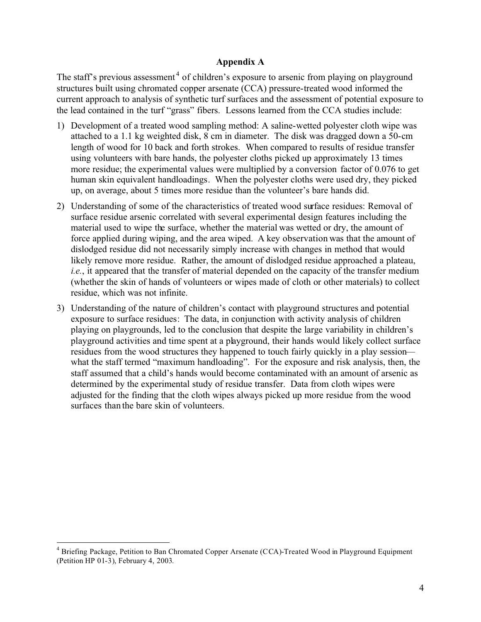#### **Appendix A**

The staff's previous assessment<sup>4</sup> of children's exposure to arsenic from playing on playground structures built using chromated copper arsenate (CCA) pressure-treated wood informed the current approach to analysis of synthetic turf surfaces and the assessment of potential exposure to the lead contained in the turf "grass" fibers. Lessons learned from the CCA studies include:

- 1) Development of a treated wood sampling method: A saline-wetted polyester cloth wipe was attached to a 1.1 kg weighted disk, 8 cm in diameter. The disk was dragged down a 50-cm length of wood for 10 back and forth strokes. When compared to results of residue transfer using volunteers with bare hands, the polyester cloths picked up approximately 13 times more residue; the experimental values were multiplied by a conversion factor of 0.076 to get human skin equivalent handloadings. When the polyester cloths were used dry, they picked up, on average, about 5 times more residue than the volunteer's bare hands did.
- 2) Understanding of some of the characteristics of treated wood surface residues: Removal of surface residue arsenic correlated with several experimental design features including the material used to wipe the surface, whether the material was wetted or dry, the amount of force applied during wiping, and the area wiped. A key observation was that the amount of dislodged residue did not necessarily simply increase with changes in method that would likely remove more residue. Rather, the amount of dislodged residue approached a plateau, *i.e.*, it appeared that the transfer of material depended on the capacity of the transfer medium (whether the skin of hands of volunteers or wipes made of cloth or other materials) to collect residue, which was not infinite.
- 3) Understanding of the nature of children's contact with playground structures and potential exposure to surface residues: The data, in conjunction with activity analysis of children playing on playgrounds, led to the conclusion that despite the large variability in children's playground activities and time spent at a playground, their hands would likely collect surface residues from the wood structures they happened to touch fairly quickly in a play session what the staff termed "maximum handloading". For the exposure and risk analysis, then, the staff assumed that a child's hands would become contaminated with an amount of arsenic as determined by the experimental study of residue transfer. Data from cloth wipes were adjusted for the finding that the cloth wipes always picked up more residue from the wood surfaces than the bare skin of volunteers.

<sup>4</sup> Briefing Package, Petition to Ban Chromated Copper Arsenate (CCA)-Treated Wood in Playground Equipment (Petition HP 01-3), February 4, 2003.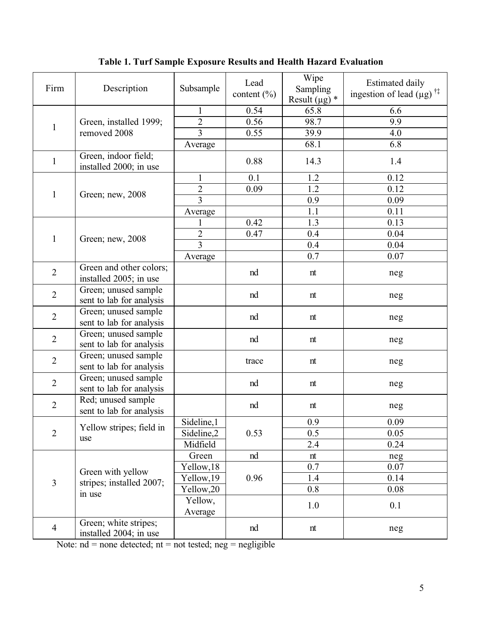| Firm           | Description                                             | Subsample                        | Lead<br>content $(\% )$ | Wipe<br>Sampling<br>Result ( $\mu$ g) * | <b>Estimated daily</b><br>ingestion of lead $(\mu g)$ <sup>†‡</sup> |
|----------------|---------------------------------------------------------|----------------------------------|-------------------------|-----------------------------------------|---------------------------------------------------------------------|
|                |                                                         | $\mathbf{1}$                     | 0.54                    | 65.8                                    | 6.6                                                                 |
| $\mathbf{1}$   | Green, installed 1999;<br>removed 2008                  | $\overline{c}$                   | 0.56                    | 98.7                                    | 9.9                                                                 |
|                |                                                         | $\overline{3}$                   | 0.55                    | 39.9                                    | 4.0                                                                 |
|                |                                                         | Average                          |                         | 68.1                                    | 6.8                                                                 |
| $\mathbf{1}$   | Green, indoor field;<br>installed 2000; in use          |                                  | 0.88                    | 14.3                                    | 1.4                                                                 |
| $\mathbf{1}$   | Green; new, 2008                                        | $\mathbf{1}$                     | 0.1                     | 1.2                                     | 0.12                                                                |
|                |                                                         | $\overline{2}$                   | 0.09                    | $\overline{1.2}$                        | 0.12                                                                |
|                |                                                         | $\overline{3}$                   |                         | 0.9                                     | 0.09                                                                |
|                |                                                         | Average                          |                         | 1.1                                     | 0.11                                                                |
| $\mathbf{1}$   | Green; new, 2008                                        | 1                                | 0.42                    | $1.\overline{3}$                        | 0.13                                                                |
|                |                                                         | $\frac{2}{3}$                    | 0.47                    | 0.4                                     | 0.04                                                                |
|                |                                                         |                                  |                         | 0.4                                     | 0.04                                                                |
|                |                                                         | Average                          |                         | 0.7                                     | 0.07                                                                |
| $\overline{2}$ | Green and other colors;<br>installed 2005; in use       |                                  | nd                      | nt                                      | neg                                                                 |
| $\overline{2}$ | Green; unused sample<br>sent to lab for analysis        |                                  | nd                      | nt                                      | neg                                                                 |
| $\overline{2}$ | Green; unused sample<br>sent to lab for analysis        |                                  | nd                      | nt                                      | neg                                                                 |
| $\overline{2}$ | Green; unused sample<br>sent to lab for analysis        |                                  | nd                      | nt                                      | neg                                                                 |
| $\overline{2}$ | Green; unused sample<br>sent to lab for analysis        |                                  | trace                   | nt                                      | neg                                                                 |
| $\overline{2}$ | Green; unused sample<br>sent to lab for analysis        |                                  | nd                      | nt                                      | neg                                                                 |
| $\overline{2}$ | Red; unused sample<br>sent to lab for analysis          |                                  | nd                      | nt                                      | neg                                                                 |
| $\overline{2}$ | Yellow stripes; field in<br>use                         | $\overline{\text{Sideline}}$ , 1 | 0.53                    | 0.9                                     | 0.09                                                                |
|                |                                                         | Sideline,2                       |                         | 0.5                                     | 0.05                                                                |
|                |                                                         | Midfield                         |                         | 2.4                                     | 0.24                                                                |
| $\overline{3}$ | Green with yellow<br>stripes; installed 2007;<br>in use | Green                            | nd                      | nt                                      | neg                                                                 |
|                |                                                         | Yellow, 18                       | 0.96                    | 0.7                                     | 0.07                                                                |
|                |                                                         | Yellow, 19                       |                         | 1.4                                     | 0.14                                                                |
|                |                                                         | Yellow, 20                       |                         | 0.8                                     | 0.08                                                                |
|                |                                                         | Yellow,<br>Average               |                         | 1.0                                     | 0.1                                                                 |
| $\overline{4}$ | Green; white stripes;<br>installed 2004; in use         |                                  | nd                      | nt                                      | neg                                                                 |

**Table 1. Turf Sample Exposure Results and Health Hazard Evaluation**

Note:  $nd = none$  detected;  $nt = not$  tested;  $neg = negligible$